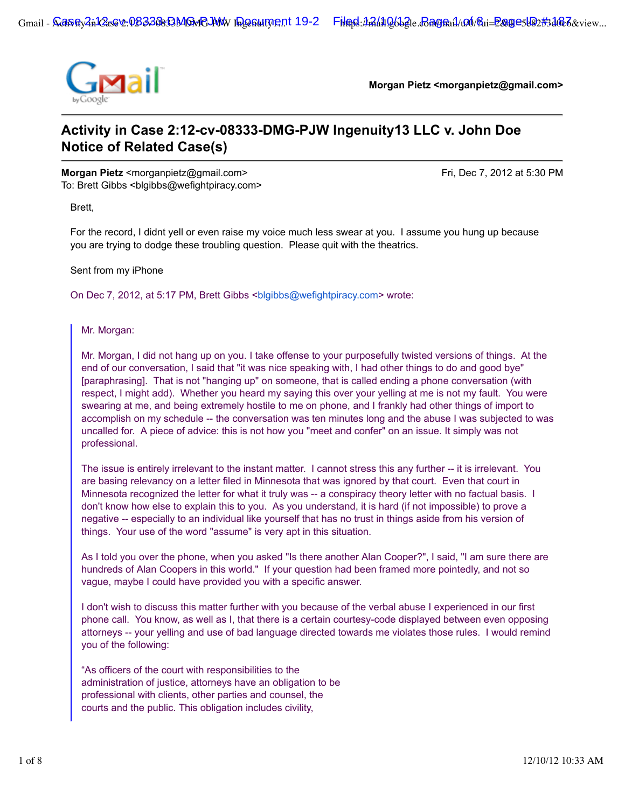

**Morgan Pietz <morganpietz@gmail.com>**

# **Activity in Case 2:12-cv-08333-DMG-PJW Ingenuity13 LLC v. John Doe Notice of Related Case(s)**

**Morgan Pietz** <morganpietz@gmail.com> Fri, Dec 7, 2012 at 5:30 PM To: Brett Gibbs <br/>blgibbs@wefightpiracy.com>

Brett,

For the record, I didnt yell or even raise my voice much less swear at you. I assume you hung up because you are trying to dodge these troubling question. Please quit with the theatrics.

Sent from my iPhone

On Dec 7, 2012, at 5:17 PM, Brett Gibbs <blgibbs@wefightpiracy.com> wrote:

Mr. Morgan:

Mr. Morgan, I did not hang up on you. I take offense to your purposefully twisted versions of things. At the end of our conversation, I said that "it was nice speaking with, I had other things to do and good bye" [paraphrasing]. That is not "hanging up" on someone, that is called ending a phone conversation (with respect, I might add). Whether you heard my saying this over your yelling at me is not my fault. You were swearing at me, and being extremely hostile to me on phone, and I frankly had other things of import to accomplish on my schedule -- the conversation was ten minutes long and the abuse I was subjected to was uncalled for. A piece of advice: this is not how you "meet and confer" on an issue. It simply was not professional.

The issue is entirely irrelevant to the instant matter. I cannot stress this any further -- it is irrelevant. You are basing relevancy on a letter filed in Minnesota that was ignored by that court. Even that court in Minnesota recognized the letter for what it truly was -- a conspiracy theory letter with no factual basis. I don't know how else to explain this to you. As you understand, it is hard (if not impossible) to prove a negative -- especially to an individual like yourself that has no trust in things aside from his version of things. Your use of the word "assume" is very apt in this situation.

As I told you over the phone, when you asked "Is there another Alan Cooper?", I said, "I am sure there are hundreds of Alan Coopers in this world." If your question had been framed more pointedly, and not so vague, maybe I could have provided you with a specific answer.

I don't wish to discuss this matter further with you because of the verbal abuse I experienced in our first phone call. You know, as well as I, that there is a certain courtesy-code displayed between even opposing attorneys -- your yelling and use of bad language directed towards me violates those rules. I would remind you of the following:

"As officers of the court with responsibilities to the administration of justice, attorneys have an obligation to be professional with clients, other parties and counsel, the courts and the public. This obligation includes civility,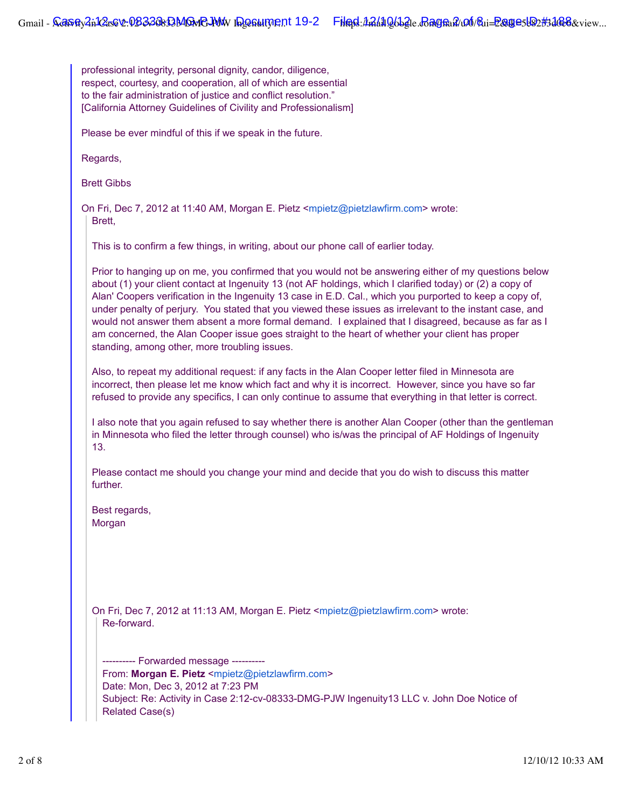professional integrity, personal dignity, candor, diligence, respect, courtesy, and cooperation, all of which are essential to the fair administration of justice and conflict resolution." [California Attorney Guidelines of Civility and Professionalism]

Please be ever mindful of this if we speak in the future.

Regards,

Brett Gibbs

On Fri, Dec 7, 2012 at 11:40 AM, Morgan E. Pietz <mpietz@pietzlawfirm.com> wrote: Brett,

This is to confirm a few things, in writing, about our phone call of earlier today.

Prior to hanging up on me, you confirmed that you would not be answering either of my questions below about (1) your client contact at Ingenuity 13 (not AF holdings, which I clarified today) or (2) a copy of Alan' Coopers verification in the Ingenuity 13 case in E.D. Cal., which you purported to keep a copy of, under penalty of perjury. You stated that you viewed these issues as irrelevant to the instant case, and would not answer them absent a more formal demand. I explained that I disagreed, because as far as I am concerned, the Alan Cooper issue goes straight to the heart of whether your client has proper standing, among other, more troubling issues.

Also, to repeat my additional request: if any facts in the Alan Cooper letter filed in Minnesota are incorrect, then please let me know which fact and why it is incorrect. However, since you have so far refused to provide any specifics, I can only continue to assume that everything in that letter is correct.

I also note that you again refused to say whether there is another Alan Cooper (other than the gentleman in Minnesota who filed the letter through counsel) who is/was the principal of AF Holdings of Ingenuity 13.

Please contact me should you change your mind and decide that you do wish to discuss this matter further.

Best regards, Morgan

On Fri, Dec 7, 2012 at 11:13 AM, Morgan E. Pietz <mpietz@pietzlawfirm.com> wrote: Re-forward.

---------- Forwarded message ---------- From: **Morgan E. Pietz** <mpietz@pietzlawfirm.com> Date: Mon, Dec 3, 2012 at 7:23 PM Subject: Re: Activity in Case 2:12-cv-08333-DMG-PJW Ingenuity13 LLC v. John Doe Notice of Related Case(s)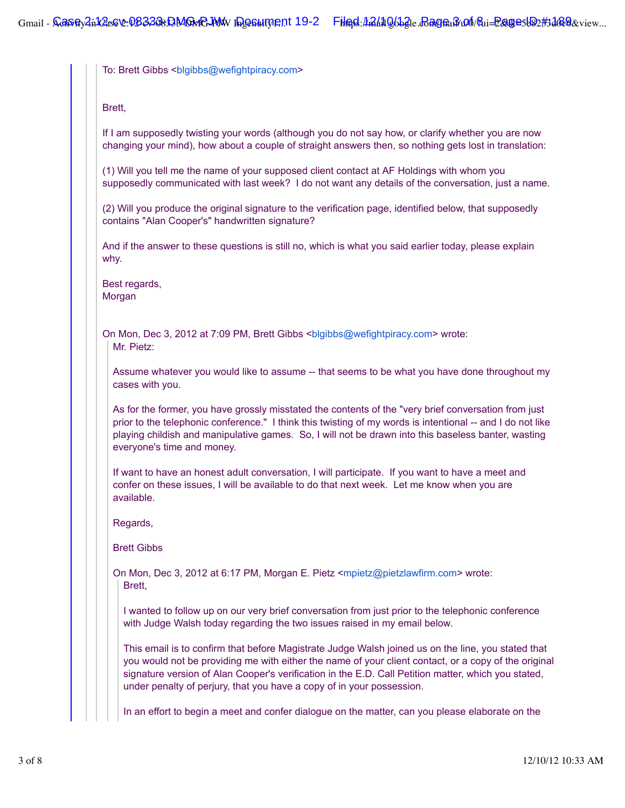To: Brett Gibbs <br/>blgibbs@wefightpiracy.com>

Brett,

If I am supposedly twisting your words (although you do not say how, or clarify whether you are now changing your mind), how about a couple of straight answers then, so nothing gets lost in translation:

(1) Will you tell me the name of your supposed client contact at AF Holdings with whom you supposedly communicated with last week? I do not want any details of the conversation, just a name.

(2) Will you produce the original signature to the verification page, identified below, that supposedly contains "Alan Cooper's" handwritten signature?

And if the answer to these questions is still no, which is what you said earlier today, please explain why.

Best regards, Morgan

On Mon, Dec 3, 2012 at 7:09 PM, Brett Gibbs <blgibbs@wefightpiracy.com> wrote: Mr. Pietz:

Assume whatever you would like to assume -- that seems to be what you have done throughout my cases with you.

As for the former, you have grossly misstated the contents of the "very brief conversation from just prior to the telephonic conference." I think this twisting of my words is intentional -- and I do not like playing childish and manipulative games. So, I will not be drawn into this baseless banter, wasting everyone's time and money.

If want to have an honest adult conversation, I will participate. If you want to have a meet and confer on these issues, I will be available to do that next week. Let me know when you are available.

Regards,

Brett Gibbs

On Mon, Dec 3, 2012 at 6:17 PM, Morgan E. Pietz <mpietz@pietzlawfirm.com> wrote: Brett,

I wanted to follow up on our very brief conversation from just prior to the telephonic conference with Judge Walsh today regarding the two issues raised in my email below.

This email is to confirm that before Magistrate Judge Walsh joined us on the line, you stated that you would not be providing me with either the name of your client contact, or a copy of the original signature version of Alan Cooper's verification in the E.D. Call Petition matter, which you stated, under penalty of perjury, that you have a copy of in your possession.

In an effort to begin a meet and confer dialogue on the matter, can you please elaborate on the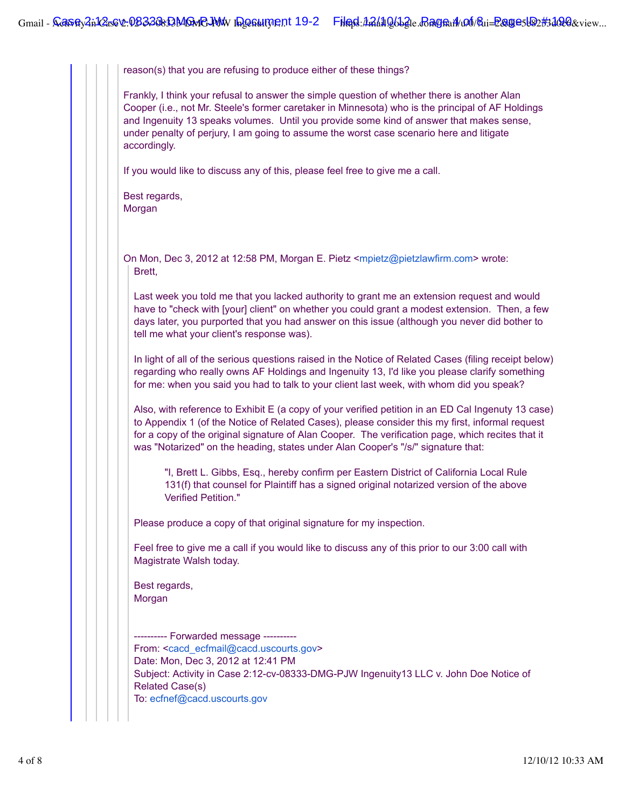reason(s) that you are refusing to produce either of these things?

Frankly, I think your refusal to answer the simple question of whether there is another Alan Cooper (i.e., not Mr. Steele's former caretaker in Minnesota) who is the principal of AF Holdings and Ingenuity 13 speaks volumes. Until you provide some kind of answer that makes sense, under penalty of perjury, I am going to assume the worst case scenario here and litigate accordingly.

If you would like to discuss any of this, please feel free to give me a call.

Best regards, Morgan

On Mon, Dec 3, 2012 at 12:58 PM, Morgan E. Pietz <mpietz@pietzlawfirm.com> wrote: Brett,

Last week you told me that you lacked authority to grant me an extension request and would have to "check with [your] client" on whether you could grant a modest extension. Then, a few days later, you purported that you had answer on this issue (although you never did bother to tell me what your client's response was).

In light of all of the serious questions raised in the Notice of Related Cases (filing receipt below) regarding who really owns AF Holdings and Ingenuity 13, I'd like you please clarify something for me: when you said you had to talk to your client last week, with whom did you speak?

Also, with reference to Exhibit E (a copy of your verified petition in an ED Cal Ingenuty 13 case) to Appendix 1 (of the Notice of Related Cases), please consider this my first, informal request for a copy of the original signature of Alan Cooper. The verification page, which recites that it was "Notarized" on the heading, states under Alan Cooper's "/s/" signature that:

"I, Brett L. Gibbs, Esq., hereby confirm per Eastern District of California Local Rule 131(f) that counsel for Plaintiff has a signed original notarized version of the above Verified Petition."

Please produce a copy of that original signature for my inspection.

Feel free to give me a call if you would like to discuss any of this prior to our 3:00 call with Magistrate Walsh today.

Best regards, Morgan

---------- Forwarded message ---------- From: <cacd\_ecfmail@cacd.uscourts.gov> Date: Mon, Dec 3, 2012 at 12:41 PM Subject: Activity in Case 2:12-cv-08333-DMG-PJW Ingenuity13 LLC v. John Doe Notice of Related Case(s) To: ecfnef@cacd.uscourts.gov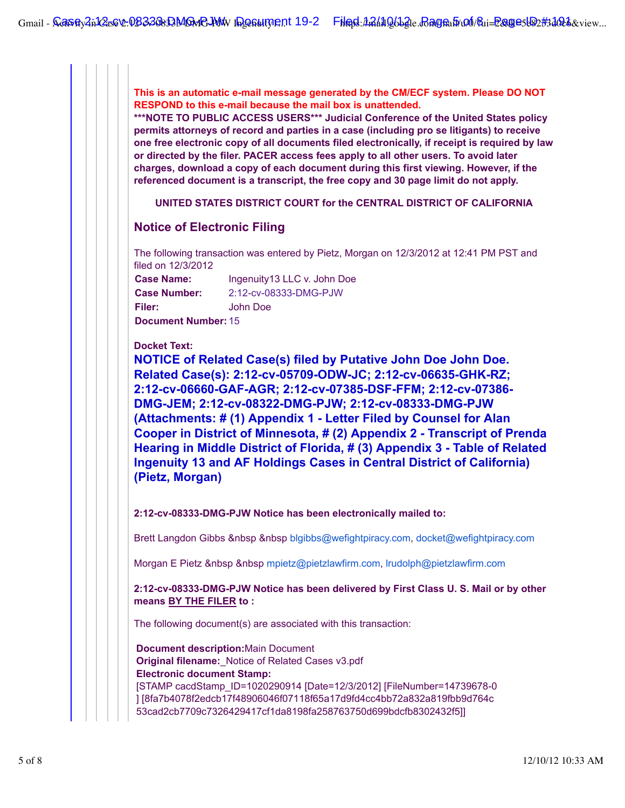**This is an automatic e-mail message generated by the CM/ECF system. Please DO NOT RESPOND to this e-mail because the mail box is unattended.**

**\*\*\*NOTE TO PUBLIC ACCESS USERS\*\*\* Judicial Conference of the United States policy permits attorneys of record and parties in a case (including pro se litigants) to receive one free electronic copy of all documents filed electronically, if receipt is required by law or directed by the filer. PACER access fees apply to all other users. To avoid later charges, download a copy of each document during this first viewing. However, if the referenced document is a transcript, the free copy and 30 page limit do not apply.**

**UNITED STATES DISTRICT COURT for the CENTRAL DISTRICT OF CALIFORNIA**

## **Notice of Electronic Filing**

The following transaction was entered by Pietz, Morgan on 12/3/2012 at 12:41 PM PST and filed on 12/3/2012

**Case Name:** Ingenuity13 LLC v. John Doe **Case Number:** 2:12-cv-08333-DMG-PJW **Filer:** John Doe **Document Number:** 15

**Docket Text:**

**NOTICE of Related Case(s) filed by Putative John Doe John Doe. Related Case(s): 2:12-cv-05709-ODW-JC; 2:12-cv-06635-GHK-RZ; 2:12-cv-06660-GAF-AGR; 2:12-cv-07385-DSF-FFM; 2:12-cv-07386- DMG-JEM; 2:12-cv-08322-DMG-PJW; 2:12-cv-08333-DMG-PJW (Attachments: # (1) Appendix 1 - Letter Filed by Counsel for Alan Cooper in District of Minnesota, # (2) Appendix 2 - Transcript of Prenda Hearing in Middle District of Florida, # (3) Appendix 3 - Table of Related Ingenuity 13 and AF Holdings Cases in Central District of California) (Pietz, Morgan)**

**2:12-cv-08333-DMG-PJW Notice has been electronically mailed to:**

Brett Langdon Gibbs &nbsp &nbsp blgibbs@wefightpiracy.com, docket@wefightpiracy.com

Morgan E Pietz &nbsp &nbsp mpietz@pietzlawfirm.com, lrudolph@pietzlawfirm.com

**2:12-cv-08333-DMG-PJW Notice has been delivered by First Class U. S. Mail or by other means BY THE FILER to :**

The following document(s) are associated with this transaction:

**Document description:**Main Document **Original filename:**\_Notice of Related Cases v3.pdf **Electronic document Stamp:** [STAMP cacdStamp\_ID=1020290914 [Date=12/3/2012] [FileNumber=14739678-0 ] [8fa7b4078f2edcb17f48906046f07118f65a17d9fd4cc4bb72a832a819fbb9d764c 53cad2cb7709c7326429417cf1da8198fa258763750d699bdcfb8302432f5]]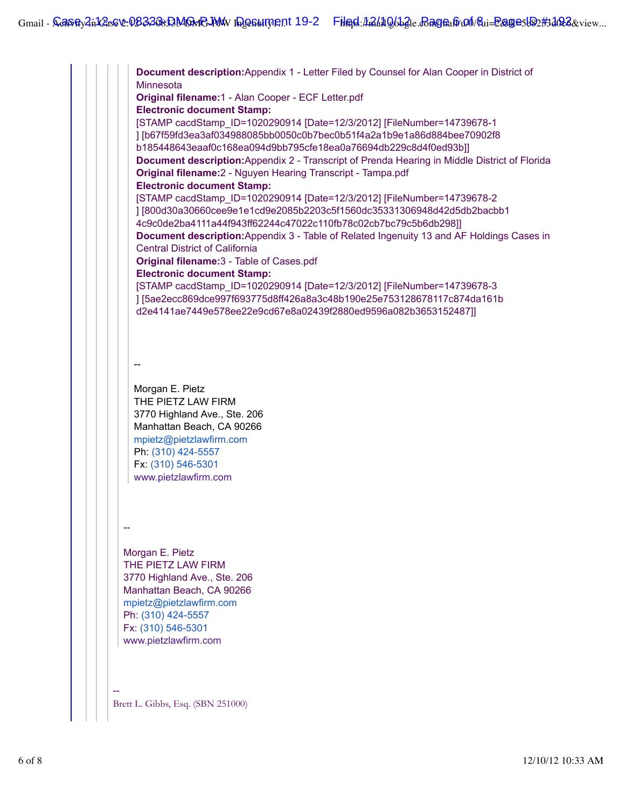**Document description:**Appendix 1 - Letter Filed by Counsel for Alan Cooper in District of **Minnesota Original filename:**1 - Alan Cooper - ECF Letter.pdf **Electronic document Stamp:** [STAMP cacdStamp\_ID=1020290914 [Date=12/3/2012] [FileNumber=14739678-1 ] [b67f59fd3ea3af034988085bb0050c0b7bec0b51f4a2a1b9e1a86d884bee70902f8 b185448643eaaf0c168ea094d9bb795cfe18ea0a76694db229c8d4f0ed93b]] **Document description:**Appendix 2 - Transcript of Prenda Hearing in Middle District of Florida **Original filename:**2 - Nguyen Hearing Transcript - Tampa.pdf **Electronic document Stamp:** [STAMP cacdStamp\_ID=1020290914 [Date=12/3/2012] [FileNumber=14739678-2 ] [800d30a30660cee9e1e1cd9e2085b2203c5f1560dc35331306948d42d5db2bacbb1 4c9c0de2ba4111a44f943ff62244c47022c110fb78c02cb7bc79c5b6db298]] **Document description:**Appendix 3 - Table of Related Ingenuity 13 and AF Holdings Cases in Central District of California **Original filename:**3 - Table of Cases.pdf **Electronic document Stamp:** [STAMP cacdStamp\_ID=1020290914 [Date=12/3/2012] [FileNumber=14739678-3 ] [5ae2ecc869dce997f693775d8ff426a8a3c48b190e25e753128678117c874da161b d2e4141ae7449e578ee22e9cd67e8a02439f2880ed9596a082b3653152487]] -- Morgan E. Pietz THE PIETZ LAW FIRM 3770 Highland Ave., Ste. 206 Manhattan Beach, CA 90266 mpietz@pietzlawfirm.com Ph: (310) 424-5557 Fx: (310) 546-5301 www.pietzlawfirm.com -- Morgan E. Pietz THE PIETZ LAW FIRM 3770 Highland Ave., Ste. 206 Manhattan Beach, CA 90266 mpietz@pietzlawfirm.com Ph: (310) 424-5557 Fx: (310) 546-5301 www.pietzlawfirm.com -- Brett L. Gibbs, Esq. (SBN 251000)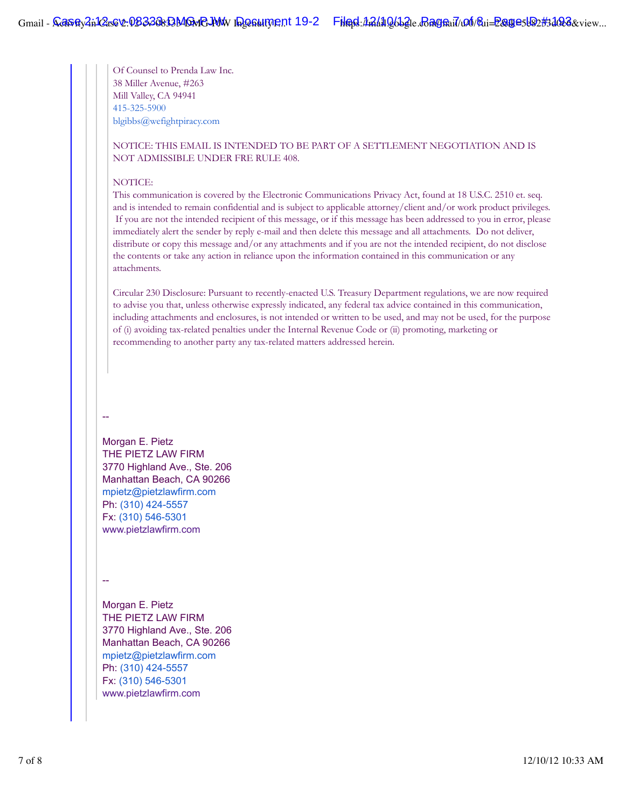Of Counsel to Prenda Law Inc. 38 Miller Avenue, #263 Mill Valley, CA 94941 415-325-5900 blgibbs@wefightpiracy.com

### NOTICE: THIS EMAIL IS INTENDED TO BE PART OF A SETTLEMENT NEGOTIATION AND IS NOT ADMISSIBLE UNDER FRE RULE 408.

#### NOTICE:

This communication is covered by the Electronic Communications Privacy Act, found at 18 U.S.C. 2510 et. seq. and is intended to remain confidential and is subject to applicable attorney/client and/or work product privileges. If you are not the intended recipient of this message, or if this message has been addressed to you in error, please immediately alert the sender by reply e-mail and then delete this message and all attachments. Do not deliver, distribute or copy this message and/or any attachments and if you are not the intended recipient, do not disclose the contents or take any action in reliance upon the information contained in this communication or any attachments.

Circular 230 Disclosure: Pursuant to recently-enacted U.S. Treasury Department regulations, we are now required to advise you that, unless otherwise expressly indicated, any federal tax advice contained in this communication, including attachments and enclosures, is not intended or written to be used, and may not be used, for the purpose of (i) avoiding tax-related penalties under the Internal Revenue Code or (ii) promoting, marketing or recommending to another party any tax-related matters addressed herein.

#### --

Morgan E. Pietz THE PIETZ LAW FIRM 3770 Highland Ave., Ste. 206 Manhattan Beach, CA 90266 mpietz@pietzlawfirm.com Ph: (310) 424-5557 Fx: (310) 546-5301 www.pietzlawfirm.com

--

Morgan E. Pietz THE PIETZ LAW FIRM 3770 Highland Ave., Ste. 206 Manhattan Beach, CA 90266 mpietz@pietzlawfirm.com Ph: (310) 424-5557 Fx: (310) 546-5301 www.pietzlawfirm.com